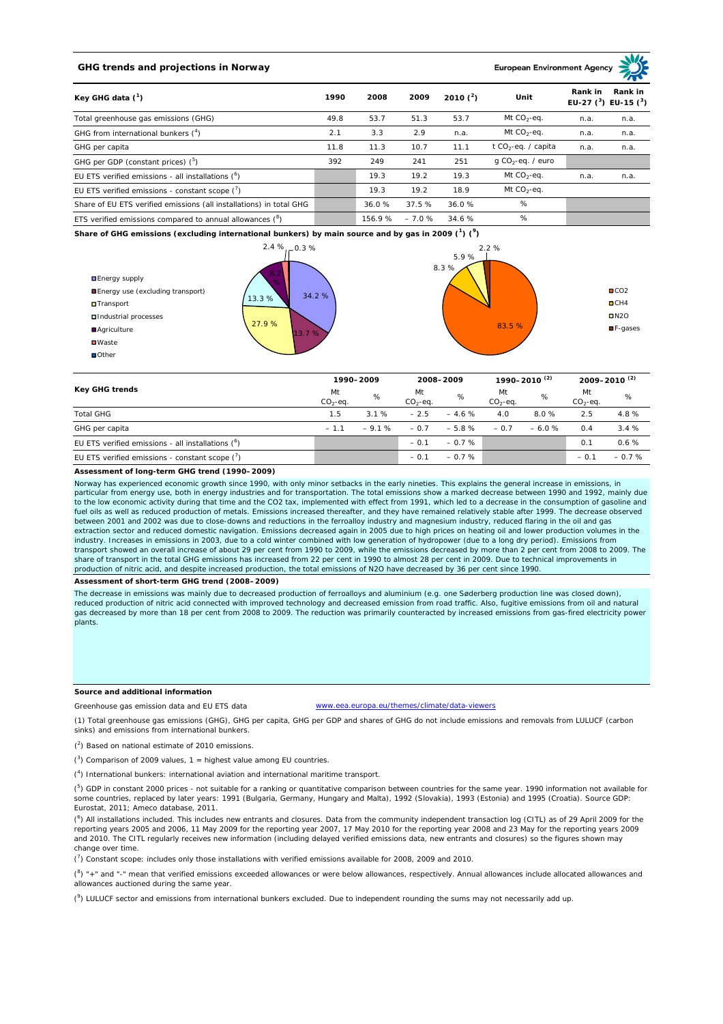# **GHG trends and projections in Norway**

**European Environment Age** 

| Key GHG data $(^1)$                                                 |      | 2008   | 2009    | 2010 $(^{2})$ | Unit                            | Rank in | Rank in<br>EU-27 $(^3)$ EU-15 $(^3)$ |
|---------------------------------------------------------------------|------|--------|---------|---------------|---------------------------------|---------|--------------------------------------|
| Total greenhouse gas emissions (GHG)                                | 49.8 | 53.7   | 51.3    | 53.7          | Mt $CO_2$ -eq.                  | n.a.    | n.a.                                 |
| GHG from international bunkers (4)                                  | 2.1  | 3.3    | 2.9     | n.a.          | Mt $CO_2$ -eq.                  | n.a.    | n.a.                                 |
| GHG per capita                                                      | 11.8 | 11.3   | 10.7    | 11.1          | t CO <sub>2</sub> -eq. / capita | n.a.    | n.a.                                 |
| GHG per GDP (constant prices) $(^5)$                                | 392  | 249    | 241     | 251           | $q$ CO <sub>2</sub> -eq. / euro |         |                                      |
| EU ETS verified emissions - all installations $(^{\circ})$          |      | 19.3   | 19.2    | 19.3          | Mt $CO2$ -eq.                   | n.a.    | n.a.                                 |
| EU ETS verified emissions - constant scope $\binom{7}{1}$           |      | 19.3   | 19.2    | 18.9          | Mt $CO_2$ -eq.                  |         |                                      |
| Share of EU ETS verified emissions (all installations) in total GHG |      | 36.0%  | 37.5 %  | 36.0%         | %                               |         |                                      |
| ETS verified emissions compared to annual allowances $(^8)$         |      | 156.9% | $-7.0%$ | 34.6 %        | %                               |         |                                      |

**Share of GHG emissions (excluding international bunkers) by main source and by gas in 2009 (<sup>1</sup> ) (<sup>9</sup> )**



| Key GHG trends                                       | 1990-2009       |         | 2008-2009       |         | 1990–2010 <sup>(2)</sup> |         | $2009 - 2010^{(2)}$ |         |
|------------------------------------------------------|-----------------|---------|-----------------|---------|--------------------------|---------|---------------------|---------|
|                                                      | Mt<br>$CO2-eq.$ | %       | Mt<br>$CO2-eq.$ | %       | Mt<br>$CO2-eq.$          | %       | Mt<br>$CO2-eq.$     | %       |
| <b>Total GHG</b>                                     | 1.5             | 3.1%    | $-2.5$          | $-4.6%$ | 4.0                      | 8.0%    | 2.5                 | 4.8%    |
| GHG per capita                                       | $-1.1$          | $-9.1%$ | $-0.7$          | $-5.8%$ | $-0.7$                   | $-6.0%$ | 0.4                 | 3.4%    |
| EU ETS verified emissions - all installations $(^6)$ |                 |         | $-0.1$          | $-0.7%$ |                          |         | 0.1                 | 0.6%    |
| EU ETS verified emissions - constant scope (')       |                 |         | $-0.1$          | $-0.7%$ |                          |         | $-0.1$              | $-0.7%$ |

# **Assessment of long-term GHG trend (1990–2009)**

Norway has experienced economic growth since 1990, with only minor setbacks in the early nineties. This explains the general increase in emissions, in particular from energy use, both in energy industries and for transportation. The total emissions show a marked decrease between 1990 and 1992, mainly due<br>to the low economic activity during that time and the CO2 tax, impl fuel oils as well as reduced production of metals. Emissions increased thereafter, and they have remained relatively stable after 1999. The decrease observed between 2001 and 2002 was due to close-downs and reductions in the ferroalloy industry and magnesium industry, reduced flaring in the oil and gas extraction sector and reduced domestic navigation. Emissions decreased again in 2005 due to high prices on heating oil and lower production volumes in the industry. Increases in emissions in 2003, due to a cold winter combined with low generation of hydropower (due to a long dry period). Emissions from<br>transport showed an overall increase of about 29 per cent from 1990 to 20 share of transport in the total GHG emissions has increased from 22 per cent in 1990 to almost 28 per cent in 2009. Due to technical improvements in production of nitric acid, and despite increased production, the total emissions of N2O have decreased by 36 per cent since 1990.

#### **Assessment of short-term GHG trend (2008–2009)**

The decrease in emissions was mainly due to decreased production of ferroalloys and aluminium (e.g. one Søderberg production line was closed down), reduced production of nitric acid connected with improved technology and decreased emission from road traffic. Also, fugitive emissions from oil and natural gas decreased by more than 18 per cent from 2008 to 2009. The reduction was primarily counteracted by increased emissions from gas-fired electricity power plants.

# **Source and additional information**

Greenhouse gas emission data and EU ETS data www.eea.europa.eu/themes/climate/data-viewers

(1) Total greenhouse gas emissions (GHG), GHG per capita, GHG per GDP and shares of GHG do not include emissions and removals from LULUCF (carbon sinks) and emissions from international bunkers.

 $(2)$  Based on national estimate of 2010 emissions.

 $(3)$  Comparison of 2009 values, 1 = highest value among EU countries.

( 4 ) International bunkers: international aviation and international maritime transport.

 $(^5)$  GDP in constant 2000 prices - not suitable for a ranking or quantitative comparison between countries for the same year. 1990 information not available for some countries, replaced by later years: 1991 (Bulgaria, Germany, Hungary and Malta), 1992 (Slovakia), 1993 (Estonia) and 1995 (Croatia). Source GDP: Eurostat, 2011; Ameco database, 2011.

(<sup>6</sup>) All installations included. This includes new entrants and closures. Data from the community independent transaction log (CITL) as of 29 April 2009 for the reporting years 2005 and 2006, 11 May 2009 for the reporting year 2007, 17 May 2010 for the reporting year 2008 and 23 May for the reporting years 2009 and 2010. The CITL regularly receives new information (including delayed verified emissions data, new entrants and closures) so the figures shown may change over time.

( 7 ) Constant scope: includes only those installations with verified emissions available for 2008, 2009 and 2010.

 $(^{8}$ ) " $+$ " and "-" mean that verified emissions exceeded allowances or were below allowances, respectively. Annual allowances include allocated allowances and allowances auctioned during the same year.

 $(2)$  LULUCF sector and emissions from international bunkers excluded. Due to independent rounding the sums may not necessarily add up.